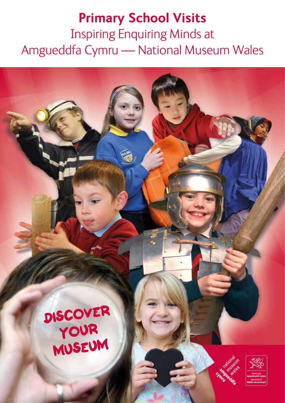#### **Primary School Visits** Inspiring Enquiring Minds at Amgueddfa Cymru — National Museum Wales

Discover your museum



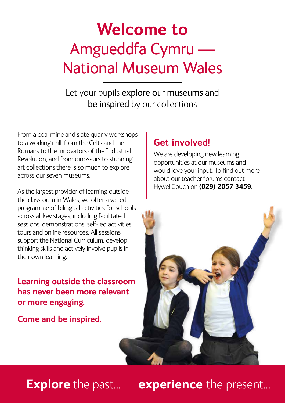#### **Welcome to**  Amgueddfa Cymru — National Museum Wales

Let your pupils explore our museums and be inspired by our collections

From a coal mine and slate quarry workshops to a working mill, from the Celts and the Romans to the innovators of the Industrial Revolution, and from dinosaurs to stunning art collections there is so much to explore across our seven museums.

As the largest provider of learning outside the classroom in Wales, we offer a varied programme of bilingual activities for schools across all key stages, including facilitated sessions, demonstrations, self-led activities, tours and online resources. All sessions support the National Curriculum, develop thinking skills and actively involve pupils in their own learning.

**Learning outside the classroom has never been more relevant or more engaging.**

**Come and be inspired.**

#### **Get involved!**

We are developing new learning opportunities at our museums and would love your input. To find out more about our teacher forums contact Hywel Couch on **(029) 2057 3459**.



#### **Explore** the past... **experience** the present...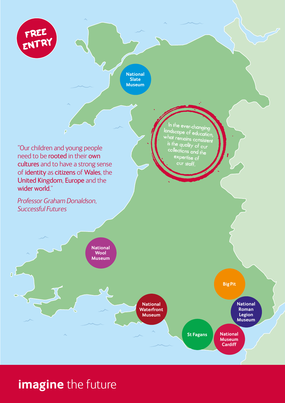

**National Slate Museum**

"Our children and young people need to be rooted in their own cultures and to have a strong sense of identity as citizens of Wales, the United Kingdom, Europe and the wider world."

*Professor Graham Donaldson,* 

In the ever-changing landscape of education, what remains consistent is the quality of our collections and the expertise of our staff.

*Successful Futures*



#### **imagine** the future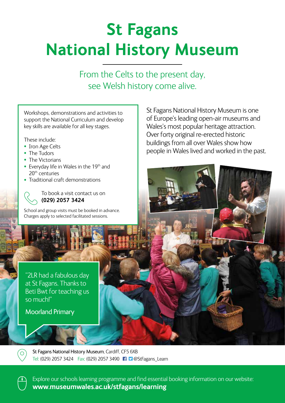# **St Fagans National History Museum**

From the Celts to the present day, see Welsh history come alive.

Workshops, demonstrations and activities to support the National Curriculum and develop key skills are available for all key stages.

These include:

- Iron Age Celts
- The Tudors
- The Victorians
- Everyday life in Wales in the 19<sup>th</sup> and 20th centuries
- Traditional craft demonstrations

To book a visit contact us on **(029) 2057 3424**

School and group visits must be booked in advance. Charges apply to selected facilitated sessions.

"2LR had a fabulous day at St Fagans. Thanks to Beti Bwt for teaching us so much!"

Moorland Primary

St Fagans National History Museum is one of Europe's leading open-air museums and Wales's most popular heritage attraction. Over forty original re-erected historic buildings from all over Wales show how people in Wales lived and worked in the past.

St Fagans National History Museum, Cardiff, CF5 6XB Tel: (029) 2057 3424 Fax: (029) 2057 3490 FI P @StFagans Learn



Explore our schools learning programme and find essential booking information on our website: **www.museumwales.ac.uk/stfagans/learning**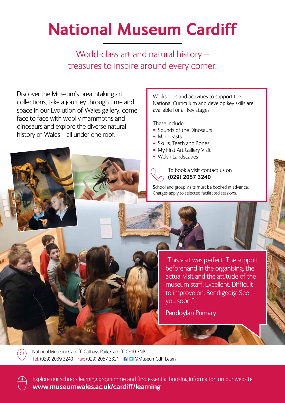### **National Museum Cardiff**

World-class art and natural history – treasures to inspire around every corner.

Discover the Museum's breathtaking art collections, take a journey through time and space in our Evolution of Wales gallery, come face to face with woolly mammoths and dinosaurs and explore the diverse natural history of Wales – all under one roof.

Workshops and activities to support the National Curriculum and develop key skills are available for all key stages.

These include:

- Sounds of the Dinosaurs
- Minibeasts
- Skulls, Teeth and Bones
- My First Art Gallery Visit
- Welsh Landscapes

To book a visit contact us on **(029) 2057 3240**

School and group visits must be booked in advance. Charges apply to selected facilitated sessions.

> "This visit was perfect. The support beforehand in the organising, the actual visit and the attitude of the museum staff. Excellent. Difficult to improve on. Bendigedig. See you soon."

Pendoylan Primary

National Museum Cardiff, Cathays Park, Cardiff, CF10 3NP Tel: (029) 2039 3240 Fax: (029) 2057 3321 @MuseumCdf\_Learn

Explore our schools learning programme and find essential booking information on our website: **www.museumwales.ac.uk/cardiff/learning**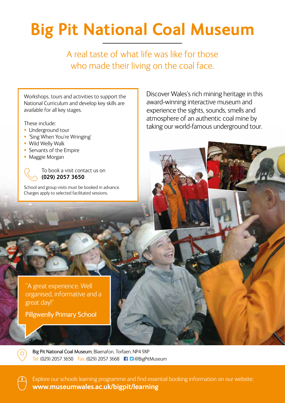# **Big Pit National Coal Museum**

A real taste of what life was like for those who made their living on the coal face.

Workshops, tours and activities to support the National Curriculum and develop key skills are available for all key stages.

These include:

- Underground tour
- 'Sing When You're Wringing'
- Wild Welly Walk
- Servants of the Empire
- Maggie Morgan

To book a visit contact us on **(029) 2057 3650**

School and group visits must be booked in advance. Charges apply to selected facilitated sessions.

Discover Wales's rich mining heritage in this award-winning interactive museum and experience the sights, sounds, smells and atmosphere of an authentic coal mine by taking our world-famous underground tour.

"A great experience. Well organised, informative and a great day!"

Pillgwenlly Primary School

Big Pit National Coal Museum, Blaenafon, Torfaen, NP4 9XP Tel: (029) 2057 3650 Fax: (029) 2057 3668 **1 D** @BigPitMuseum

Explore our schools learning programme and find essential booking information on our website: **www.museumwales.ac.uk/bigpit/learning**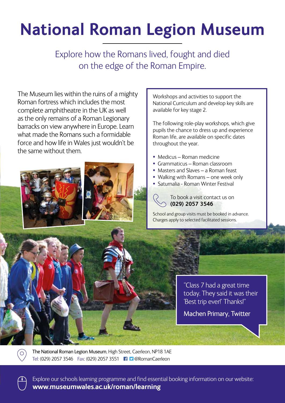### **National Roman Legion Museum**

Explore how the Romans lived, fought and died on the edge of the Roman Empire.

The Museum lies within the ruins of a mighty Roman fortress which includes the most complete amphitheatre in the UK as well as the only remains of a Roman Legionary barracks on view anywhere in Europe. Learn what made the Romans such a formidable force and how life in Wales just wouldn't be the same without them.



Workshops and activities to support the National Curriculum and develop key skills are available for key stage 2.

The following role-play workshops, which give pupils the chance to dress up and experience Roman life, are available on specific dates throughout the year.

- Medicus Roman medicine
- Grammaticus Roman classroom
- Masters and Slaves a Roman feast
- Walking with Romans one week only
- Saturnalia Roman Winter Festival

To book a visit contact us on **(029) 2057 3546**

School and group visits must be booked in advance. Charges apply to selected facilitated sessions.

> "Class 7 had a great time today. They said it was their 'Best trip ever!' Thanks!"

Machen Primary, Twitter

The National Roman Legion Museum, High Street, Caerleon, NP18 1AE Tel: (029) 2057 3546 Fax: (029) 2057 3551 @RomanCaerleon



 $\overline{O}$ 

Explore our schools learning programme and find essential booking information on our website: **www.museumwales.ac.uk/roman/learning**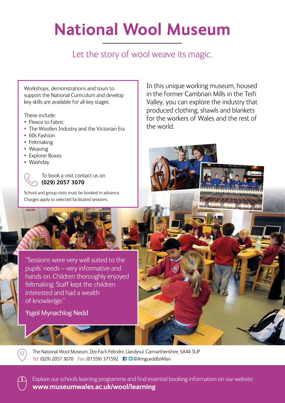## **National Wool Museum**

Let the story of wool weave its magic.

Workshops, demonstrations and tours to support the National Curriculum and develop key skills are available for all key stages.

These include:

- Fleece to Fabric
- The Woollen Industry and the Victorian Era
- 60s Fashion
- Feltmaking
- Weaving
- Explorer Boxes
- Washday

To book a visit contact us on **(029) 2057 3070**

School and group visits must be booked in advance. Charges apply to selected facilitated sessions.

In this unique working museum, housed in the former Cambrian Mills in the Teifi Valley, you can explore the industry that produced clothing, shawls and blankets for the workers of Wales and the rest of the world.

"Sessions were very well suited to the pupils' needs – very informative and hands on. Children thoroughly enjoyed feltmaking. Staff kept the children interested and had a wealth of knowledge."

Ysgol Mynachlog Nedd

The National Wool Museum, Dre-Fach Felindre, Llandysul, Carmarthenshire, SA44 5UP Tel: (029) 2057 3070 Fax: (01559) 371592 @AmgueddfaWlan

Explore our schools learning programme and find essential booking information on our website: **www.museumwales.ac.uk/wool/learning**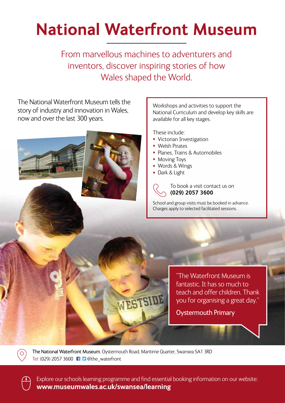## **National Waterfront Museum**

From marvellous machines to adventurers and inventors, discover inspiring stories of how Wales shaped the World.

The National Waterfront Museum tells the Workshops and activities to support the story of industry and innovation in Wales, National Curriculum and develop key skills are now and over the last 300 years. available for all key stages. These include: • Victorian Investigation • Welsh Pirates • Planes, Trains & Automobiles • Moving Toys • Words & Wings • Dark & Light To book a visit contact us on **(029) 2057 3600** School and group visits must be booked in advance. Charges apply to selected facilitated sessions. "The Waterfront Museum is fantastic. It has so much to teach and offer children. Thank WESTSIDE you for organising a great day." Oystermouth Primary

The National Waterfront Museum, Oystermouth Road, Maritime Quarter, Swansea SA1 3RD Tel: (029) 2057 3600 **1 D** @the\_waterfront



 $\circ$ 

Explore our schools learning programme and find essential booking information on our website: **www.museumwales.ac.uk/swansea/learning**